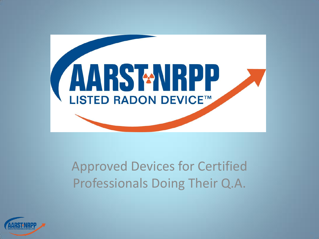

#### Approved Devices for Certified Professionals Doing Their Q.A.

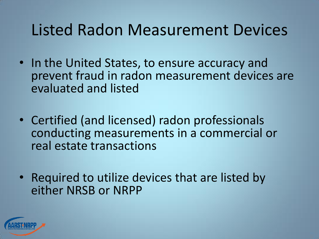#### Listed Radon Measurement Devices

- In the United States, to ensure accuracy and prevent fraud in radon measurement devices are evaluated and listed
- Certified (and licensed) radon professionals conducting measurements in a commercial or real estate transactions
- Required to utilize devices that are listed by either NRSB or NRPP

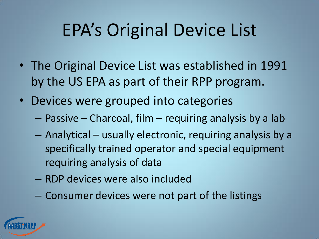# EPA's Original Device List

- The Original Device List was established in 1991 by the US EPA as part of their RPP program.
- Devices were grouped into categories
	- Passive Charcoal, film requiring analysis by a lab
	- Analytical usually electronic, requiring analysis by a specifically trained operator and special equipment requiring analysis of data
	- RDP devices were also included
	- Consumer devices were not part of the listings

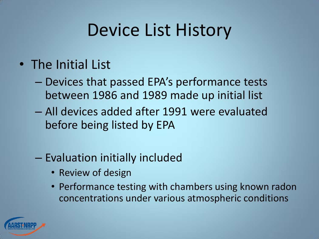# Device List History

- The Initial List
	- Devices that passed EPA's performance tests between 1986 and 1989 made up initial list
	- All devices added after 1991 were evaluated before being listed by EPA
	- Evaluation initially included
		- Review of design
		- Performance testing with chambers using known radon concentrations under various atmospheric conditions

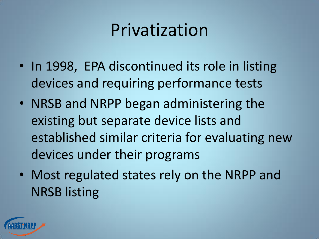# Privatization

- In 1998, EPA discontinued its role in listing devices and requiring performance tests
- NRSB and NRPP began administering the existing but separate device lists and established similar criteria for evaluating new devices under their programs
- Most regulated states rely on the NRPP and NRSB listing

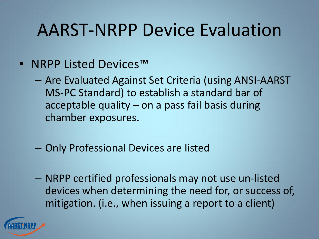## AARST-NRPP Device Evaluation

- NRPP Listed Devices™
	- Are Evaluated Against Set Criteria (using ANSI-AARST MS-PC Standard) to establish a standard bar of acceptable quality – on a pass fail basis during chamber exposures.
	- Only Professional Devices are listed
	- NRPP certified professionals may not use un-listed devices when determining the need for, or success of, mitigation. (i.e., when issuing a report to a client)

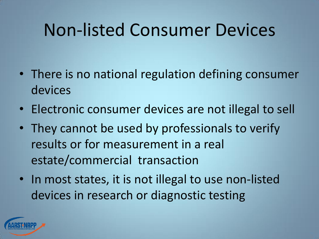# Non-listed Consumer Devices

- There is no national regulation defining consumer devices
- Electronic consumer devices are not illegal to sell
- They cannot be used by professionals to verify results or for measurement in a real estate/commercial transaction
- In most states, it is not illegal to use non-listed devices in research or diagnostic testing

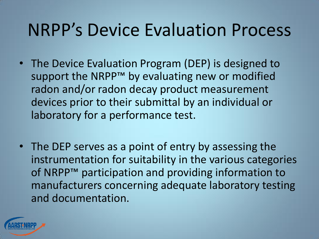### NRPP's Device Evaluation Process

- The Device Evaluation Program (DEP) is designed to support the NRPP<sup>™</sup> by evaluating new or modified radon and/or radon decay product measurement devices prior to their submittal by an individual or laboratory for a performance test.
- The DEP serves as a point of entry by assessing the instrumentation for suitability in the various categories of NRPP™ participation and providing information to manufacturers concerning adequate laboratory testing and documentation.

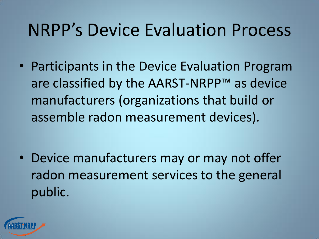### NRPP's Device Evaluation Process

• Participants in the Device Evaluation Program are classified by the AARST-NRPP™ as device manufacturers (organizations that build or assemble radon measurement devices).

• Device manufacturers may or may not offer radon measurement services to the general public.

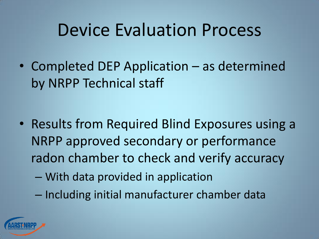#### Device Evaluation Process

• Completed DEP Application – as determined by NRPP Technical staff

- Results from Required Blind Exposures using a NRPP approved secondary or performance radon chamber to check and verify accuracy
	- With data provided in application
	- Including initial manufacturer chamber data

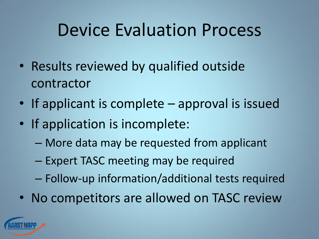### Device Evaluation Process

- Results reviewed by qualified outside contractor
- If applicant is complete approval is issued
- If application is incomplete:
	- More data may be requested from applicant
	- Expert TASC meeting may be required
	- Follow-up information/additional tests required
- No competitors are allowed on TASC review

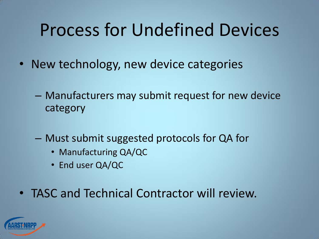# Process for Undefined Devices

- New technology, new device categories
	- Manufacturers may submit request for new device category
	- Must submit suggested protocols for QA for
		- Manufacturing QA/QC
		- End user QA/QC
- TASC and Technical Contractor will review.

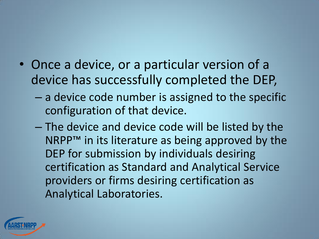

- Once a device, or a particular version of a device has successfully completed the DEP,
	- a device code number is assigned to the specific configuration of that device.
	- The device and device code will be listed by the NRPP<sup>™</sup> in its literature as being approved by the DEP for submission by individuals desiring certification as Standard and Analytical Service providers or firms desiring certification as Analytical Laboratories.

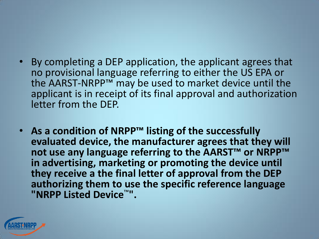

- By completing a DEP application, the applicant agrees that no provisional language referring to either the US EPA or the AARST-NRPP™ may be used to market device until the applicant is in receipt of its final approval and authorization letter from the DEP.
- **As a condition of NRPP™ listing of the successfully evaluated device, the manufacturer agrees that they will not use any language referring to the AARST™ or NRPP™ in advertising, marketing or promoting the device until they receive a the final letter of approval from the DEP authorizing them to use the specific reference language "NRPP Listed Device**™**".**

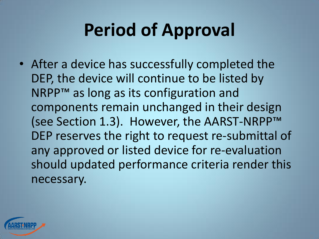# **Period of Approval**

• After a device has successfully completed the DEP, the device will continue to be listed by NRPP™ as long as its configuration and components remain unchanged in their design (see Section 1.3). However, the AARST-NRPP™ DEP reserves the right to request re-submittal of any approved or listed device for re-evaluation should updated performance criteria render this necessary.

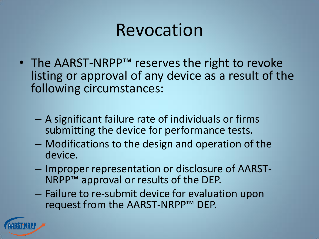### Revocation

- The AARST-NRPP™ reserves the right to revoke listing or approval of any device as a result of the following circumstances:
	- A significant failure rate of individuals or firms submitting the device for performance tests.
	- Modifications to the design and operation of the device.
	- Improper representation or disclosure of AARST-NRPP™ approval or results of the DEP.
	- Failure to re-submit device for evaluation upon request from the AARST-NRPP™ DEP.

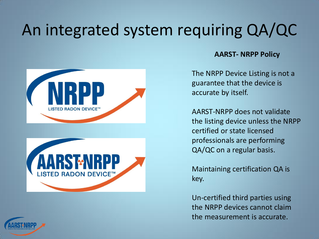#### An integrated system requiring QA/QC





#### **AARST- NRPP Policy**

The NRPP Device Listing is not a guarantee that the device is accurate by itself.

AARST-NRPP does not validate the listing device unless the NRPP certified or state licensed professionals are performing QA/QC on a regular basis.

Maintaining certification QA is key.

Un-certified third parties using the NRPP devices cannot claim the measurement is accurate.

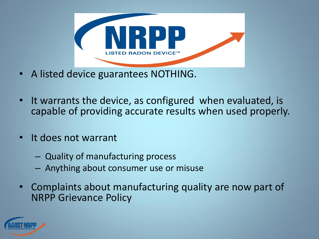

- A listed device guarantees NOTHING.
- It warrants the device, as configured when evaluated, is capable of providing accurate results when used properly.
- It does not warrant
	- Quality of manufacturing process
	- Anything about consumer use or misuse
- Complaints about manufacturing quality are now part of NRPP Grievance Policy

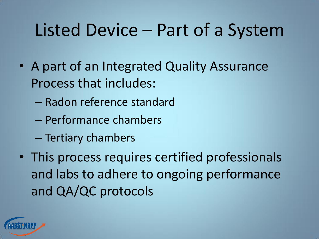# Listed Device – Part of a System

- A part of an Integrated Quality Assurance Process that includes:
	- Radon reference standard
	- Performance chambers
	- Tertiary chambers
- This process requires certified professionals and labs to adhere to ongoing performance and QA/QC protocols

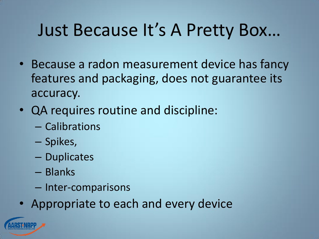# Just Because It's A Pretty Box…

- Because a radon measurement device has fancy features and packaging, does not guarantee its accuracy.
- QA requires routine and discipline:
	- Calibrations
	- Spikes,
	- Duplicates
	- Blanks
	- Inter-comparisons
- Appropriate to each and every device

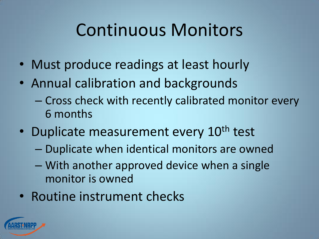# Continuous Monitors

- Must produce readings at least hourly
- Annual calibration and backgrounds
	- Cross check with recently calibrated monitor every 6 months
- Duplicate measurement every 10<sup>th</sup> test
	- Duplicate when identical monitors are owned
	- With another approved device when a single monitor is owned
- Routine instrument checks

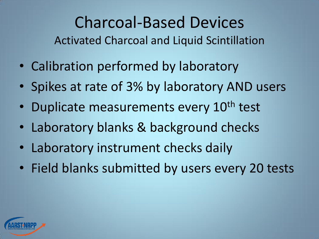Charcoal-Based Devices Activated Charcoal and Liquid Scintillation

- Calibration performed by laboratory
- Spikes at rate of 3% by laboratory AND users
- Duplicate measurements every 10<sup>th</sup> test
- Laboratory blanks & background checks
- Laboratory instrument checks daily
- Field blanks submitted by users every 20 tests

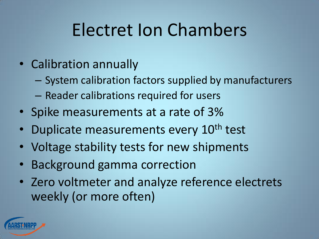# Electret Ion Chambers

- Calibration annually
	- System calibration factors supplied by manufacturers
	- Reader calibrations required for users
- Spike measurements at a rate of 3%
- Duplicate measurements every 10<sup>th</sup> test
- Voltage stability tests for new shipments
- Background gamma correction
- Zero voltmeter and analyze reference electrets weekly (or more often)

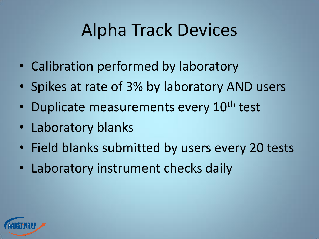# Alpha Track Devices

- Calibration performed by laboratory
- Spikes at rate of 3% by laboratory AND users
- Duplicate measurements every 10<sup>th</sup> test
- Laboratory blanks
- Field blanks submitted by users every 20 tests
- Laboratory instrument checks daily

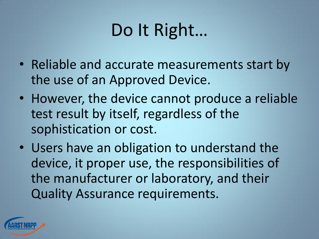# Do It Right…

- Reliable and accurate measurements start by the use of an Approved Device.
- However, the device cannot produce a reliable test result by itself, regardless of the sophistication or cost.
- Users have an obligation to understand the device, it proper use, the responsibilities of the manufacturer or laboratory, and their Quality Assurance requirements.

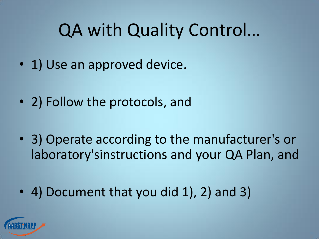# QA with Quality Control…

- 1) Use an approved device.
- 2) Follow the protocols, and
- 3) Operate according to the manufacturer's or laboratory'sinstructions and your QA Plan, and
- 4) Document that you did 1), 2) and 3)